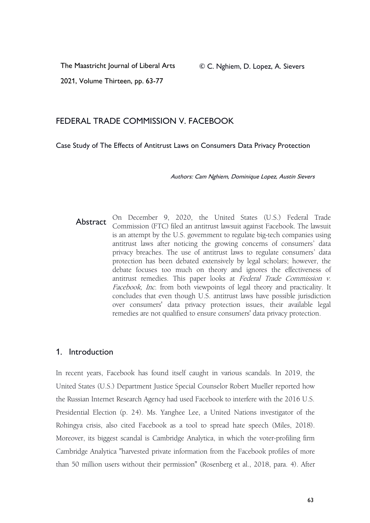2021, Volume Thirteen, pp. 63-77

# FEDERAL TRADE COMMISSION V. FACEBOOK

Case Study of The Effects of Antitrust Laws on Consumers Data Privacy Protection

Authors: Cam Nghiem, Dominique Lopez, Austin Sievers

Abstract On December 9, 2020, the United States (U.S.) Federal Trade Commission (FTC) filed an antitrust lawsuit against Facebook. The lawsuit is an attempt by the U.S. government to regulate big-tech companies using antitrust laws after noticing the growing concerns of consumers' data privacy breaches. The use of antitrust laws to regulate consumers' data protection has been debated extensively by legal scholars; however, the debate focuses too much on theory and ignores the effectiveness of antitrust remedies. This paper looks at Federal Trade Commission v. Facebook, Inc. from both viewpoints of legal theory and practicality. It concludes that even though U.S. antitrust laws have possible jurisdiction over consumers' data privacy protection issues, their available legal remedies are not qualified to ensure consumers' data privacy protection.

### 1. Introduction

In recent years, Facebook has found itself caught in various scandals. In 2019, the United States (U.S.) Department Justice Special Counselor Robert Mueller reported how the Russian Internet Research Agency had used Facebook to interfere with the 2016 U.S. Presidential Election (p. 24). Ms. Yanghee Lee, a United Nations investigator of the Rohingya crisis, also cited Facebook as a tool to spread hate speech (Miles, 2018). Moreover, its biggest scandal is Cambridge Analytica, in which the voter-profiling firm Cambridge Analytica "harvested private information from the Facebook profiles of more than 50 million users without their permission" (Rosenberg et al., 2018, para. 4). After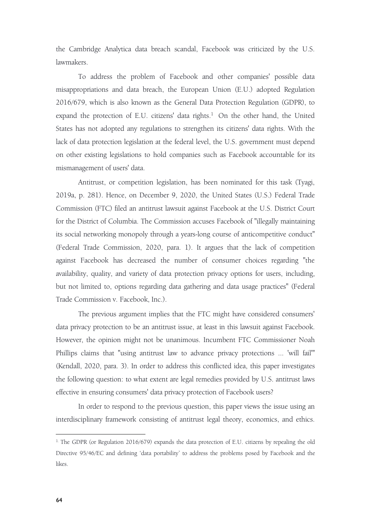the Cambridge Analytica data breach scandal, Facebook was criticized by the U.S. lawmakers.

To address the problem of Facebookand other companies' possible data misappropriations and databreach, the European Union (E.U.) adopted Regulation 2016/679, which is also known as the General Data Protection Regulation (GDPR), to expand the protection of E.U. citizens' data rights.<sup>[1](#page-1-0)</sup> On the other hand, the United States has not adopted any regulations to strengthen its citizens' data rights. With the lack of data protection legislation at the federal level, the U.S. government must depend on other existing legislations to hold companies such as Facebook accountable for its mismanagement of users' data.

Antitrust, or competition legislation, has been nominated for this task (Tyagi, 2019a, p. 281). Hence, on December 9, 2020, the United States (U.S.) Federal Trade Commission (FTC) filed an antitrust lawsuit against Facebook at the U.S. District Court for the District of Columbia. The Commission accuses Facebook of "illegally maintaining its social networking monopoly through a years-long course of anticompetitive conduct" (Federal Trade Commission, 2020, para. 1). It argues that the lack of competition against Facebook has decreased the number of consumer choices regarding "the availability, quality, and variety of data protection privacy options for users, including, but not limited to, options regarding data gathering and data usage practices" (Federal Trade Commission v. Facebook, Inc.).

The previous argument implies that the FTC might have considered consumers' data privacy protection to be an antitrust issue, at least in this lawsuit against Facebook. However, the opinion might not be unanimous. Incumbent FTC Commissioner Noah Phillips claims that "using antitrust law to advance privacy protections ... 'will fail'" (Kendall, 2020, para. 3). In order to address this conflicted idea, this paper investigates the following question: to what extent are legal remedies provided by U.S. antitrust laws effective in ensuring consumers' data privacy protection of Facebook users?

In order to respond to the previous question, this paper views the issue using an interdisciplinary framework consisting of antitrust legal theory, economics, and ethics.

<span id="page-1-0"></span><sup>&</sup>lt;sup>1.</sup> The GDPR (or Regulation 2016/679) expands the data protection of E.U. citizens by repealing the old Directive 95/46/EC and defining 'data portability' to address the problems posed by Facebook and the likes.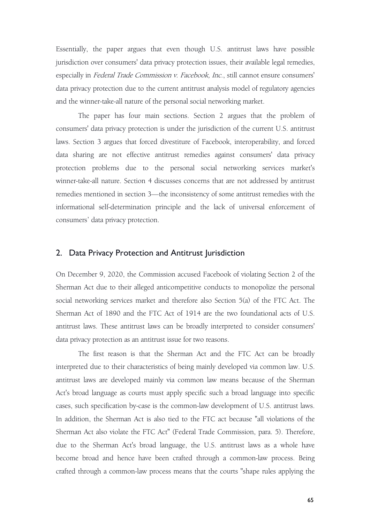Essentially, the paper argues that even though U.S. antitrust laws have possible jurisdiction over consumers' data privacy protection issues, their available legal remedies, especially in *Federal Trade Commission v. Facebook, Inc.*, still cannot ensure consumers' data privacy protection due to the current antitrust analysis model of regulatory agencies and the winner-take-all nature of the personal social networking market.

The paper has four main sections. Section 2 argues that the problem of consumers' data privacy protection is under the jurisdiction of the current U.S. antitrust laws. Section 3 argues that forced divestiture of Facebook, interoperability, and forced data sharing are not effective antitrust remedies against consumers' data privacy protection problems due to the personal social networking services market's winner-take-all nature. Section 4 discusses concerns that are not addressed by antitrust remedies mentioned in section 3—the inconsistency of some antitrust remedies with the informational self-determination principle and the lack of universal enforcement of consumers' data privacy protection.

#### 2. Data Privacy Protection and Antitrust Jurisdiction

On December 9, 2020, the Commission accused Facebook of violating Section 2 of the Sherman Act due to their alleged anticompetitive conducts to monopolize the personal social networking services market and therefore also Section 5(a) of the FTC Act. The Sherman Act of 1890 and the FTC Act of 1914 are the two foundational acts of U.S. antitrust laws. These antitrust laws can be broadly interpreted to consider consumers' data privacy protection as an antitrust issue for two reasons.

The first reason is that the Sherman Act and the FTC Act can be broadly interpreted due to their characteristics of being mainly developed via common law. U.S. antitrust laws are developed mainly via common law means because of the Sherman Act's broad language as courts must apply specific such a broad language into specific cases, such specification by-case is the common-law development of U.S. antitrust laws. In addition, the Sherman Act is also tied to the FTC act because "all violations of the Sherman Act also violate the FTC Act" (Federal Trade Commission, para. 5). Therefore, due to the Sherman Act's broad language, the U.S. antitrust laws as a whole have become broad and hence have been crafted through a common-law process. Being crafted through a common-law process means that the courts "shape rules applying the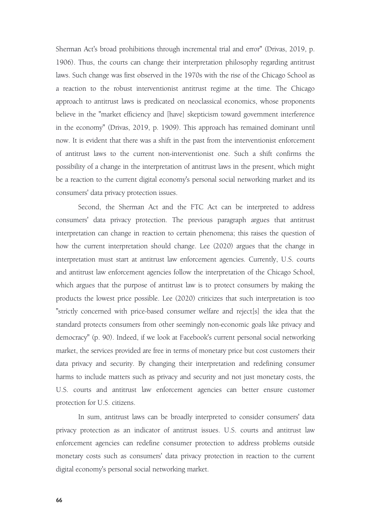Sherman Act's broad prohibitions through incremental trial and error" (Drivas, 2019, p. 1906). Thus, the courts can change their interpretation philosophy regarding antitrust laws. Such change was first observed in the 1970s with the rise of the Chicago School as a reaction to the robust interventionist antitrust regime at the time. The Chicago approach to antitrust laws is predicated on neoclassical economics, whose proponents believe in the "market efficiency and [have] skepticism toward government interference in the economy" (Drivas, 2019, p. 1909). This approach has remained dominant until now. It is evident that there was a shift in the past from the interventionist enforcement of antitrust laws to the current non-interventionist one. Such a shift confirms the possibility of a change in the interpretation of antitrust laws in the present, which might be a reaction to the current digital economy's personal social networking market and its consumers' data privacy protection issues.

Second, the Sherman Act and the FTC Act can be interpreted to address consumers' data privacy protection. The previous paragraph argues that antitrust interpretation can change in reaction to certain phenomena; this raises the question of how the current interpretation should change. Lee (2020) argues that the change in interpretation must start at antitrust law enforcement agencies. Currently, U.S. courts and antitrust law enforcement agencies follow the interpretation of the Chicago School, which argues that the purpose of antitrust law is to protect consumers by making the products the lowest price possible. Lee (2020) criticizes that such interpretation is too "strictly concerned with price-based consumer welfare and reject[s] the idea that the standard protects consumers from other seemingly non-economic goals like privacy and democracy" (p. 90). Indeed, if we look at Facebook's current personal social networking market, the services provided are free in terms of monetary price but cost customers their data privacy and security. By changing their interpretation and redefining consumer harms to include matters such as privacy and security and not just monetary costs, the U.S. courts and antitrust law enforcement agencies can better ensure customer protection for U.S. citizens.

In sum, antitrust laws can be broadly interpreted to consider consumers' data privacy protection as an indicator of antitrust issues. U.S. courts and antitrust law enforcement agencies can redefine consumer protection to address problems outside monetary costs such as consumers' data privacy protection in reaction to the current digital economy's personal social networking market.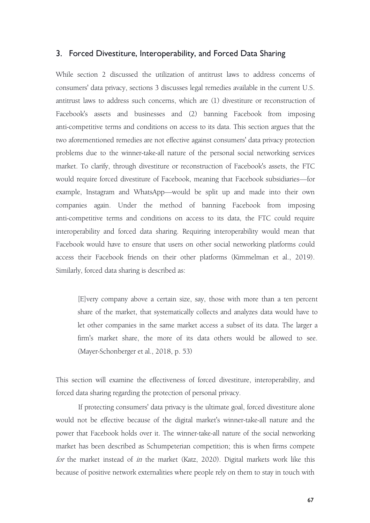### 3. Forced Divestiture, Interoperability, and Forced Data Sharing

While section 2 discussed the utilization of antitrust laws to address concerns of consumers' data privacy, sections 3 discusses legal remedies available in the current U.S. antitrust laws to address such concerns, which are (1) divestiture or reconstruction of Facebook's assets and businesses and (2) banning Facebook from imposing anti-competitive terms and conditions on access to its data. This section argues that the two aforementioned remedies are not effective against consumers' data privacy protection problems due to the winner-take-all nature of the personal social networking services market. To clarify, through divestiture or reconstruction of Facebook's assets, the FTC would require forced divestiture of Facebook, meaning that Facebook subsidiaries—for example, Instagram and WhatsApp—would be split up and made into their own companies again. Under the method of banning Facebook from imposing anti-competitive terms and conditions on access to its data, the FTC could require interoperability and forced data sharing. Requiring interoperability would mean that Facebook would have to ensure that users on other social networking platforms could access their Facebook friends on their other platforms (Kimmelman et al., 2019). Similarly, forced data sharing is described as:

[E]very company above a certain size, say, those with more than a ten percent share of the market, that systematically collects and analyzes data would have to let other companies in the same market access a subset of its data. The larger a firm's market share, the more of its data others would be allowed to see. (Mayer-Schonberger et al., 2018, p. 53)

This section will examine the effectiveness of forced divestiture, interoperability, and forced data sharing regarding the protection of personal privacy.

If protecting consumers' data privacy is the ultimate goal, forced divestiture alone would not be effective because of the digital market's winner-take-all nature and the power that Facebook holds over it. The winner-take-all nature of the social networking market has been described as Schumpeterian competition; this is when firms compete for the market instead of in the market (Katz, 2020). Digital markets work like this because of positive network externalities where people rely on them to stay in touch with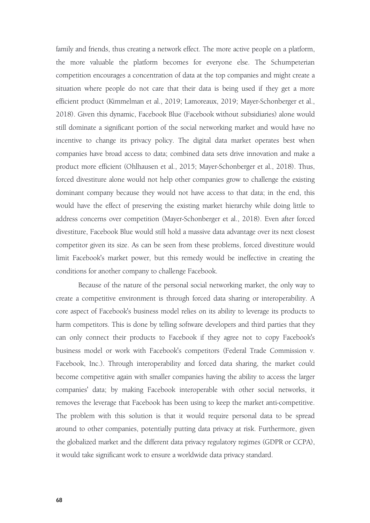family and friends, thus creating a network effect. The more active people on a platform, the more valuable the platform becomes for everyone else. The Schumpeterian competition encourages a concentration of data at the top companies and might create a situation where people do not care that their data is being used if they get a more efficient product (Kimmelman et al., 2019; Lamoreaux, 2019; Mayer-Schonberger et al., 2018). Given this dynamic, Facebook Blue (Facebook without subsidiaries) alone would still dominate a significant portion of the social networking market and would have no incentive to change its privacy policy. The digital data market operates best when companies have broad access to data; combined data sets drive innovation and make a product more efficient (Ohlhausen et al., 2015; Mayer-Schonberger et al., 2018). Thus, forced divestiture alone would not help other companies grow to challenge the existing dominant company because they would not have access to that data; in the end, this would have the effect of preserving the existing market hierarchy while doing little to address concerns over competition (Mayer-Schonberger et al., 2018). Even after forced divestiture, Facebook Blue would still hold a massive data advantage over its next closest competitor given its size. As can be seen from these problems, forced divestiture would limit Facebook's market power, but this remedy would be ineffective in creating the conditions for another company to challenge Facebook.

Because of the nature of the personal social networking market, the only way to create a competitive environment is through forced data sharing or interoperability. A core aspect of Facebook's business model relies on its ability to leverage its products to harm competitors. This is done by telling software developers and third parties that they can only connect their products to Facebook if they agree not to copy Facebook's business model or work with Facebook's competitors (Federal Trade Commission v. Facebook, Inc.). Through interoperability and forced data sharing, the market could become competitive again with smaller companies having the ability to access the larger companies' data; by making Facebook interoperable with other social networks, it removes the leverage that Facebook has been using to keep the market anti-competitive. The problem with this solution is that it would require personal data to be spread around to other companies, potentially putting data privacy at risk. Furthermore, given the globalized market and the different data privacy regulatory regimes (GDPR or CCPA), it would take significant work to ensure a worldwide data privacy standard.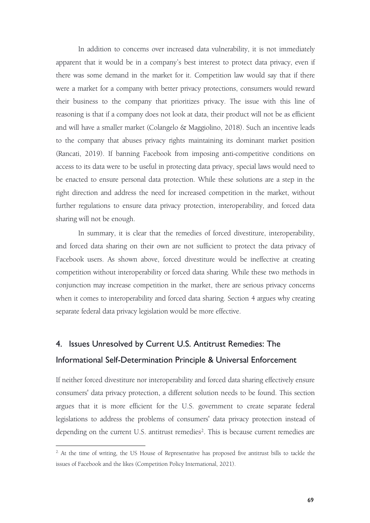In addition to concerns over increased data vulnerability, it is not immediately apparent that it would be in a company's best interest to protect data privacy, even if there was some demand in the market for it. Competition law would say that if there were a market for a company with better privacy protections, consumers would reward their business to the company that prioritizes privacy. The issue with this line of reasoning is that if a company does not look at data, their product will not be as efficient and will have a smaller market (Colangelo & Maggiolino, 2018). Such an incentive leads to the company that abuses privacy rights maintaining its dominant market position (Rancati, 2019). If banning Facebook from imposing anti-competitive conditions on access to its data were to be useful in protecting data privacy, special laws would need to be enacted to ensure personal data protection. While these solutions are a step in the right direction and address the need for increased competition in the market, without further regulations to ensure data privacy protection, interoperability, and forced data sharing will not be enough.

In summary, it is clear that the remedies of forced divestiture, interoperability, and forced data sharing on their own are not sufficient to protect the data privacy of Facebook users. As shown above, forced divestiture would be ineffective at creating competition without interoperability or forced data sharing. While these two methods in conjunction mayincrease competition in the market, there are serious privacy concerns when it comes to interoperability and forced data sharing. Section 4 argues why creating separate federal data privacy legislation would be more effective.

# 4. Issues Unresolved by Current U.S. Antitrust Remedies: The

## Informational Self-Determination Principle & Universal Enforcement

If neither forced divestiture nor interoperability and forced data sharing effectively ensure consumers' data privacy protection, a different solution needs to be found. This section argues that it is more efficient for the U.S. government to create separate federal legislations to address the problems of consumers' data privacy protection instead of depending on the current U.S. antitrust remedies<sup>[2](#page-6-0)</sup>. This is because current remedies are

<span id="page-6-0"></span><sup>&</sup>lt;sup>2.</sup> At the time of writing, the US House of Representative has proposed five antitrust bills to tackle the issues of Facebook and the likes (Competition Policy International, 2021).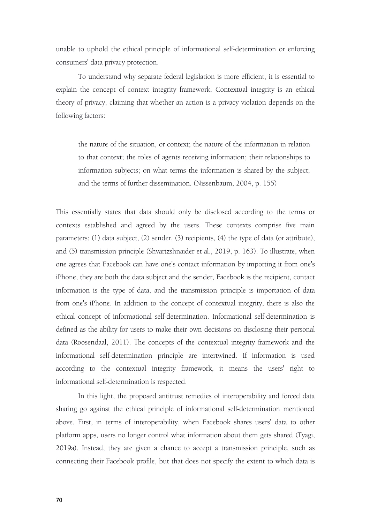unable to uphold the ethical principle of informational self-determination or enforcing consumers' data privacy protection.

To understand why separate federal legislation is more efficient, it is essential to explain the concept of context integrity framework. Contextual integrity is an ethical theory of privacy, claiming that whether an action is a privacy violation depends on the following factors:

the nature of the situation, or context; the nature of the information in relation to that context; the roles of agents receiving information; their relationships to information subjects; on what terms the information is shared by the subject; and the terms of further dissemination. (Nissenbaum, 2004, p. 155)

This essentially states that data should only be disclosed according to the terms or contexts established and agreed by the users. These contexts comprise five main parameters: (1) data subject, (2) sender, (3) recipients, (4) the type of data (or attribute), and (5) transmission principle (Shvartzshnaider et al., 2019, p. 163). To illustrate, when one agrees that Facebook can have one's contact information by importing it from one's iPhone, they are both the data subject and the sender, Facebook is the recipient, contact information is the type of data, and the transmission principle is importation of data from one's iPhone. In addition to the concept of contextual integrity, there is also the ethical concept of informational self-determination. Informational self-determination is defined as the ability for users to make their own decisions on disclosing their personal data (Roosendaal, 2011). The concepts of the contextual integrity framework and the informational self-determination principle are intertwined. If information is used according to the contextual integrity framework, it means the users' right to informational self-determination is respected.

In this light, the proposed antitrust remedies of interoperability and forced data sharing go against the ethical principle of informational self-determination mentioned above. First, in terms of interoperability, when Facebook shares users' data to other platform apps, users no longer control what information about them gets shared (Tyagi, 2019a). Instead, they are given a chance to accept a transmission principle, such as connecting their Facebook profile, but that does not specify the extent to which data is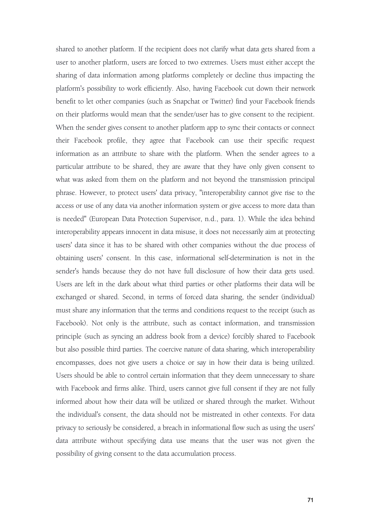shared to another platform. If the recipient does not clarify what data gets shared from a user to another platform, users are forced to two extremes. Users must either accept the sharing of data information among platforms completely or decline thus impacting the platform's possibility to work efficiently. Also, having Facebook cut down their network benefit to let other companies (such as Snapchat or Twitter) find your Facebook friends on their platforms would mean that the sender/user has to give consent to the recipient. When the sender gives consent to another platform app to sync their contacts or connect their Facebook profile, they agree that Facebook can use their specific request information as an attribute to share with the platform. When the sender agrees to a particular attribute to be shared, they are aware that they have only given consent to what was asked from them on the platform and not beyond the transmission principal phrase. However, to protect users' data privacy, "interoperability cannot give rise to the access or use of any data via another information system or give access to more data than is needed" (European Data Protection Supervisor, n.d., para. 1). While the idea behind interoperability appears innocent in data misuse, it does not necessarily aim at protecting users' data since it has to be shared with other companies without the due process of obtaining users' consent. In this case, informational self-determination is not in the sender's hands because they do not have full disclosure of how their data gets used. Users are left in the dark about what third parties or other platforms their data will be exchanged or shared. Second, in terms of forced data sharing, the sender (individual) must share any information that the terms and conditions request to the receipt (such as Facebook). Not only is the attribute, such as contact information, and transmission principle (such as syncing an address book from a device) forcibly shared to Facebook but also possible third parties. The coercive nature of data sharing, which interoperability encompasses, does not give users a choice or say in how their data is being utilized. Users should be able to control certain information that they deem unnecessary to share with Facebook and firms alike. Third, users cannot give full consent if they are not fully informed about how their data will be utilized or shared through the market. Without the individual's consent, the data should not be mistreated in other contexts. For data privacy to seriously be considered, a breach in informational flow such as using the users'<br>data attribute without specifying data use means that the user was not given the possibility of giving consent to the data accumulation process.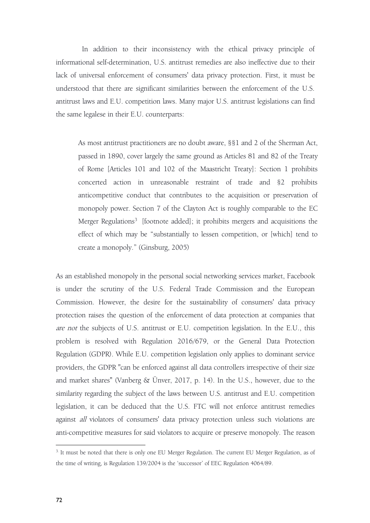In addition to their inconsistency with the ethical privacy principle of informational self-determination, U.S. antitrust remedies are also ineffective due to their lack of universal enforcement of consumers' data privacy protection. First, it must be understood that there are significant similarities between the enforcement of the U.S. antitrust laws and E.U. competition laws. Many major U.S. antitrust legislations can find the same legalese in their E.U. counterparts:

As most antitrust practitioners are no doubt aware, §§1 and 2 of the Sherman Act, passed in 1890, cover largely the same ground as Articles 81 and 82 of the Treaty of Rome [Articles 101 and 102 of the Maastricht Treaty]: Section 1 prohibits concerted action in unreasonable restraint of trade and §2 prohibits anticompetitive conduct that contributes to the acquisition or preservation of monopoly power. Section 7 of the Clayton Act is roughly comparable to the EC Merger Regulations [3](#page-9-0) [footnote added]; it prohibits mergers and acquisitions the effect of which may be "substantially to lessen competition, or [which] tend to create a monopoly." (Ginsburg, 2005)

As an established monopoly in the personal social networking services market, Facebook is under the scrutiny of the U.S. Federal Trade Commission and the European Commission. However, the desire for the sustainability of consumers' data privacy protection raises the question of the enforcement of data protection at companies that are not the subjects of U.S. antitrust or E.U. competition legislation. In the E.U., this problem is resolved with Regulation 2016/679, or the General Data Protection Regulation (GDPR). While E.U. competition legislation onlyapplies to dominant service providers, the GDPR "can be enforced against all data controllers irrespective of their size and market shares" (Vanberg & Ünver, 2017, p. 14). In the U.S., however, due to the similarity regarding the subject of the laws between U.S. antitrust and E.U. competition legislation, it can be deduced that the U.S. FTC will not enforce antitrust remedies against all violators of consumers' data privacy protection unless such violations are anti-competitive measures for said violators to acquire or preserve monopoly. The reason

<span id="page-9-0"></span><sup>&</sup>lt;sup>3.</sup> It must be noted that there is only one EU Merger Regulation. The current EU Merger Regulation, as of the time of writing, is Regulation 139/2004 is the 'successor' of EEC Regulation 4064/89.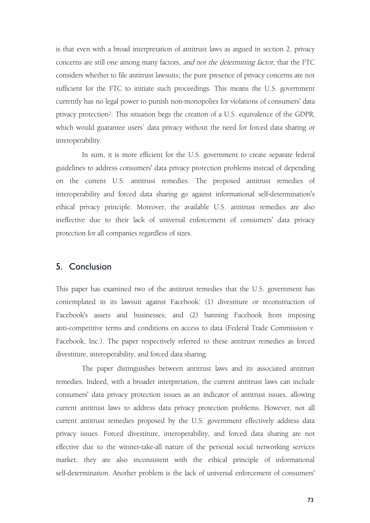is that even with a broad interpretation of antitrust laws as argued in section 2, privacy concerns are still one among many factors, and not the determining factor, that the FTC considers whether to file antitrust lawsuits; the pure presence of privacy concerns are not sufficient for the FTC to initiate such proceedings. This means the U.S. government currently has no legal power to punish non-monopolies for violations of consumers' data privacy protection². This situation begs the creation of a U.S. equivalence of the GDPR, which would guarantee users' data privacy without the need for forced data sharing or interoperability.

In sum, it is more efficient for the U.S. government to create separate federal guidelines to address consumers' data privacy protection problems instead of depending on the current U.S. antitrust remedies. The proposed antitrust remedies of interoperability and forced data sharing go against informational self-determination's ethical privacy principle. Moreover, the available U.S. antitrust remedies are also ineffective due to their lack of universal enforcement of consumers' data privacy protection for all companies regardless of sizes.

# 5. Conclusion

This paper has examined two of the antitrust remedies that the U.S. government has contemplated in its lawsuit against Facebook: (1) divestiture or reconstruction of Facebook's assets and businesses; and (2) banning Facebook from imposing anti-competitive terms and conditions on access to data (Federal Trade Commission v. Facebook, Inc.). The paper respectively referred to these antitrust remedies as forced divestiture, interoperability, and forced data sharing.

The paper distinguishes between antitrust laws and its associated antitrust remedies. Indeed, with a broader interpretation, the current antitrust laws can include consumers' data privacy protection issues as an indicator of antitrust issues, allowing current antitrust laws to address data privacy protection problems. However, not all current antitrust remedies proposed by the U.S. government effectively address data privacy issues. Forced divestiture, interoperability, and forced data sharing are not effective due to the winner-take-all nature of the personal social networking services market; they are also inconsistent with the ethical principle of informational self-determination. Another problem is the lack of universal enforcement of consumers'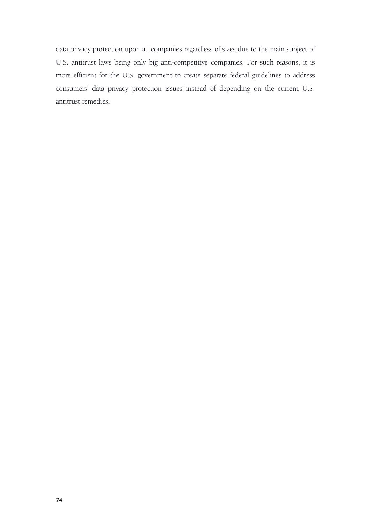data privacy protection upon all companies regardless of sizes due to the main subject of U.S. antitrust laws being only big anti-competitive companies. For such reasons, it is more efficient for the U.S. government to create separate federal guidelines to address consumers' data privacy protection issues instead of depending on the current U.S. antitrust remedies.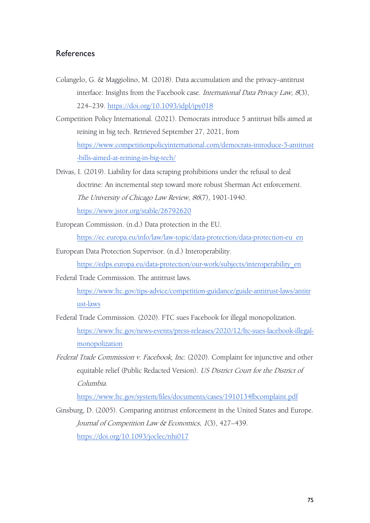# References

- Colangelo, G. & Maggiolino, M. (2018). Data accumulation and the privacy–antitrust interface: Insights from the Facebook case. International Data Privacy Law, <sup>8</sup>(3), 224–239. <https://doi.org/10.1093/idpl/ipy018>
- Competition Policy International. (2021). Democrats introduce 5 antitrust bills aimed at reining in big tech. Retrieved September 27, 2021, from [https://www.competitionpolicyinternational.com/democrats-introduce-5-antitrust](https://www.competitionpolicyinternational.com/democrats-introduce-5-antitrust-bills-aimed-at-reining-in-big-tech/) -bills-aimed-at-reining-in-big-tech/
- Drivas, I. (2019). Liability for data scraping prohibitions under the refusal to deal doctrine: An incremental step toward more robust Sherman Act enforcement. The University of Chicago Law Review, <sup>86</sup>(7), 1901-1940. <https://www.jstor.org/stable/26792620>
- European Commission. (n.d.) Data protection in the EU.

[https://ec.europa.eu/info/law/law-topic/data-protection/data-protection-eu\\_en](https://ec.europa.eu/info/law/law-topic/data-protection/data-protection-eu_en)

European Data Protection Supervisor. (n.d.) Interoperability.

[https://edps.europa.eu/data-protection/our-work/subjects/interoperability\\_en](https://edps.europa.eu/data-protection/our-work/subjects/interoperability_en)

Federal Trade Commission. The antitrust laws.

[https://www.ftc.gov/tips-advice/competition-guidance/guide-antitrust-laws/antitr](https://www.ftc.gov/tips-advice/competition-guidance/guide-antitrust-laws/antitrust-laws) ust-laws

- Federal Trade Commission. (2020). FTC sues Facebook for illegal monopolization. [https://www.ftc.gov/news-events/press-releases/2020/12/ftc-sues-facebook-illegal](https://www.ftc.gov/news-events/press-releases/2020/12/ftc-sues-facebook-illegal-monopolization) monopolization
- Federal Trade Commission v. Facebook, Inc. (2020). Complaint for injunctive and other equitable relief (Public Redacted Version). US District Court for the District of Columbia.

<https://www.ftc.gov/system/files/documents/cases/1910134fbcomplaint.pdf>

Ginsburg, D. (2005). Comparing antitrust enforcement in the United States and Europe. Journal of Competition Law & Economics, <sup>1</sup>(3), 427–439. <https://doi.org/10.1093/joclec/nhi017>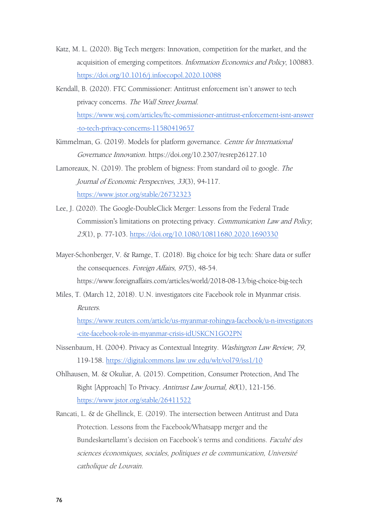- Katz, M. L. (2020). Big Tech mergers: Innovation, competition for the market, and the acquisition of emerging competitors. Information Economics and Policy, 100883. <https://doi.org/10.1016/j.infoecopol.2020.10088>
- Kendall, B. (2020). FTC Commissioner: Antitrust enforcement isn't answer to tech privacy concerns. The Wall Street Journal. [https://www.wsj.com/articles/ftc-commissioner-antitrust-enforcement-isnt-answer](https://www.wsj.com/articles/ftc-commissioner-antitrust-enforcement-isnt-answer-to-tech-privacy-concerns-11580419657) -to-tech-privacy-concerns-11580419657
- Kimmelman, G. (2019). Models for platform governance. Centre for International Governance Innovation. https://doi.org/10.2307/resrep26127.10
- Lamoreaux, N. (2019). The problem of bigness: From standard oil to google. The Journal of Economic Perspectives, <sup>33</sup>(3), 94-117. <https://www.jstor.org/stable/26732323>
- Lee, J. (2020). The Google-DoubleClick Merger: Lessons from the Federal Trade Commission's limitations on protecting privacy. Communication Law and Policy, <sup>25</sup>(1), p. 77-103. <https://doi.org/10.1080/10811680.2020.1690330>
- Mayer-Schonberger, V. & Ramge, T. (2018). Big choice for big tech: Share data or suffer the consequences. Foreign Affairs, 97(5), 48-54.

https://www.foreignaffairs.com/articles/world/2018-08-13/big-choice-big-tech

Miles, T. (March 12, 2018). U.N. investigators cite Facebook role in Myanmar crisis. Reuters. [https://www.reuters.com/article/us-myanmar-rohingya-facebook/u-n-investigators](https://www.reuters.com/article/us-myanmar-rohingya-facebook/u-n-investigators-cite-facebook-role-in-myanmar-crisis-idUSKCN1GO2PN)

-cite-facebook-role-in-myanmar-crisis-idUSKCN1GO2PN

- Nissenbaum, H. (2004). Privacy as Contextual Integrity. Washington Law Review, 79, 119-158. <https://digitalcommons.law.uw.edu/wlr/vol79/iss1/10>
- Ohlhausen, M. & Okuliar, A. (2015). Competition, Consumer Protection, And The Right [Approach] To Privacy. Antitrust Law Journal, <sup>80</sup>(1), 121-156. <https://www.jstor.org/stable/26411522>
- Rancati, L. & de Ghellinck, E. (2019). The intersection between Antitrust and Data Protection. Lessons from the Facebook/Whatsapp merger and the Bundeskartellamt's decision on Facebook's terms and conditions. Faculté des sciences économiques, sociales, politiques et de communication, Université catholique de Louvain.